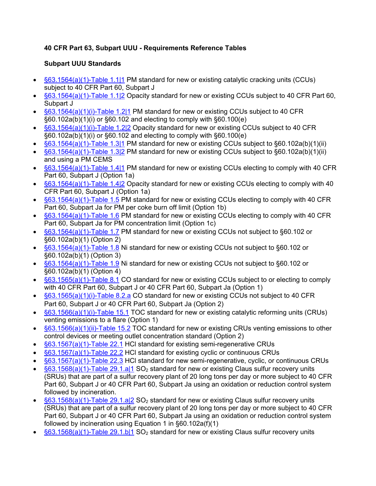## **40 CFR Part 63, Subpart UUU - Requirements Reference Tables**

## **Subpart UUU Standards**

- [§63.1564\(a\)\(1\)-Table 1.1|1](https://www.tceq.texas.gov/downloads/permitting/air-rules/federal/40-cfr-63/r63uuu.pdf) PM standard for new or existing catalytic cracking units (CCUs) subject to 40 CFR Part 60, Subpart J
- [§63.1564\(a\)\(1\)-Table 1.1|2](https://www.tceq.texas.gov/downloads/permitting/air-rules/federal/40-cfr-63/r63uuu.pdf#page=2) Opacity standard for new or existing CCUs subject to 40 CFR Part 60, Subpart J
- [§63.1564\(a\)\(1\)\(i\)-Table 1.2|1](https://www.tceq.texas.gov/downloads/permitting/air-rules/federal/40-cfr-63/r63uuu.pdf#page=2) PM standard for new or existing CCUs subject to 40 CFR §60.102a(b)(1)(i) or §60.102 and electing to comply with §60.100(e)
- [§63.1564\(a\)\(1\)\(i\)-Table 1.2|2](https://www.tceq.texas.gov/downloads/permitting/air-rules/federal/40-cfr-63/r63uuu.pdf#page=4) Opacity standard for new or existing CCUs subject to 40 CFR §60.102a(b)(1)(i) or §60.102 and electing to comply with §60.100(e)
- [§63.1564\(a\)\(1\)-Table](https://www.tceq.texas.gov/downloads/permitting/air-rules/federal/40-cfr-63/r63uuu.pdf#page=4) 1.3|1 PM standard for new or existing CCUs subject to §60.102a(b)(1)(ii)
- [§63.1564\(a\)\(1\)-Table 1.3|2](https://www.tceq.texas.gov/downloads/permitting/air-rules/federal/40-cfr-63/r63uuu.pdf#page=6) PM standard for new or existing CCUs subject to §60.102a(b)(1)(ii) and using a PM CEMS
- [§63.1564\(a\)\(1\)-Table 1.4|1](https://www.tceq.texas.gov/downloads/permitting/air-rules/federal/40-cfr-63/r63uuu.pdf#page=6) PM standard for new or existing CCUs electing to comply with 40 CFR Part 60, Subpart J (Option 1a)
- $\frac{663.1564(a)(1)-Table 1.4/2}{}$  Opacity standard for new or existing CCUs electing to comply with 40 CFR Part 60, Subpart J (Option 1a)
- [§63.1564\(a\)\(1\)-Table 1.5](https://www.tceq.texas.gov/downloads/permitting/air-rules/federal/40-cfr-63/r63uuu.pdf#page=8) PM standard for new or existing CCUs electing to comply with 40 CFR Part 60, Subpart Ja for PM per coke burn off limit (Option 1b)
- [§63.1564\(a\)\(1\)-Table 1.6](https://www.tceq.texas.gov/downloads/permitting/air-rules/federal/40-cfr-63/r63uuu.pdf#page=9) PM standard for new or existing CCUs electing to comply with 40 CFR Part 60, Subpart Ja for PM concentration limit (Option 1c)
- [§63.1564\(a\)\(1\)-Table 1.7](https://www.tceq.texas.gov/downloads/permitting/air-rules/federal/40-cfr-63/r63uuu.pdf#page=10) PM standard for new or existing CCUs not subject to §60.102 or §60.102a(b)(1) (Option 2)
- [§63.1564\(a\)\(1\)-Table 1.8](https://www.tceq.texas.gov/downloads/permitting/air-rules/federal/40-cfr-63/r63uuu.pdf#page=12) Ni standard for new or existing CCUs not subject to §60.102 or §60.102a(b)(1) (Option 3)
- [§63.1564\(a\)\(1\)-Table 1.9](https://www.tceq.texas.gov/downloads/permitting/air-rules/federal/40-cfr-63/r63uuu.pdf#page=13) Ni standard for new or existing CCUs not subject to §60.102 or §60.102a(b)(1) (Option 4)
- [§63.1565\(a\)\(1\)-Table 8.1](https://www.tceq.texas.gov/downloads/permitting/air-rules/federal/40-cfr-63/r63uuu.pdf#page=15) CO standard for new or existing CCUs subject to or electing to comply with 40 CFR Part 60, Subpart J or 40 CFR Part 60, Subpart Ja (Option 1)
- [§63.1565\(a\)\(1\)\(i\)-Table 8.2.a](https://www.tceq.texas.gov/downloads/permitting/air-rules/federal/40-cfr-63/r63uuu.pdf#page=16) CO standard for new or existing CCUs not subject to 40 CFR Part 60, Subpart J or 40 CFR Part 60, Subpart Ja (Option 2)
- [§63.1566\(a\)\(1\)\(i\)-Table 15.1](https://www.tceq.texas.gov/downloads/permitting/air-rules/federal/40-cfr-63/r63uuu.pdf#page=17) TOC standard for new or existing catalytic reforming units (CRUs) venting emissions to a flare (Option 1)
- [§63.1566\(a\)\(1\)\(ii\)-Table 15.2](https://www.tceq.texas.gov/downloads/permitting/air-rules/federal/40-cfr-63/r63uuu.pdf#page=18) TOC standard for new or existing CRUs venting emissions to other control devices or meeting outlet concentration standard (Option 2)
- [§63.1567\(a\)\(1\)-Table 22.1](https://www.tceq.texas.gov/downloads/permitting/air-rules/federal/40-cfr-63/r63uuu.pdf#page=19) HCl standard for existing semi-regenerative CRUs
- [§63.1567\(a\)\(1\)-Table 22.2](https://www.tceq.texas.gov/downloads/permitting/air-rules/federal/40-cfr-63/r63uuu.pdf#page=21) HCl standard for existing cyclic or continuous CRUs
- [§63.1567\(a\)\(1\)-Table 22.3](https://www.tceq.texas.gov/downloads/permitting/air-rules/federal/40-cfr-63/r63uuu.pdf#page=22) HCl standard for new semi-regenerative, cyclic, or continuous CRUs
- $\frac{663.1568(a)(1)}{1}$ -Table 29.1.a|1 SO<sub>2</sub> standard for new or existing Claus sulfur recovery units (SRUs) that are part of a sulfur recovery plant of 20 long tons per day or more subject to 40 CFR Part 60, Subpart J or 40 CFR Part 60, Subpart Ja using an oxidation or reduction control system followed by incineration.
- $\S63.1568(a)(1)$ -Table 29.1.a|2 SO<sub>2</sub> standard for new or existing Claus sulfur recovery units (SRUs) that are part of a sulfur recovery plant of 20 long tons per day or more subject to 40 CFR Part 60, Subpart J or 40 CFR Part 60, Subpart Ja using an oxidation or reduction control system followed by incineration using Equation 1 in §60.102a(f)(1)
- $\frac{663.1568(a)(1)}{1}$ -Table 29.1.b|1 SO<sub>2</sub> standard for new or existing Claus sulfur recovery units